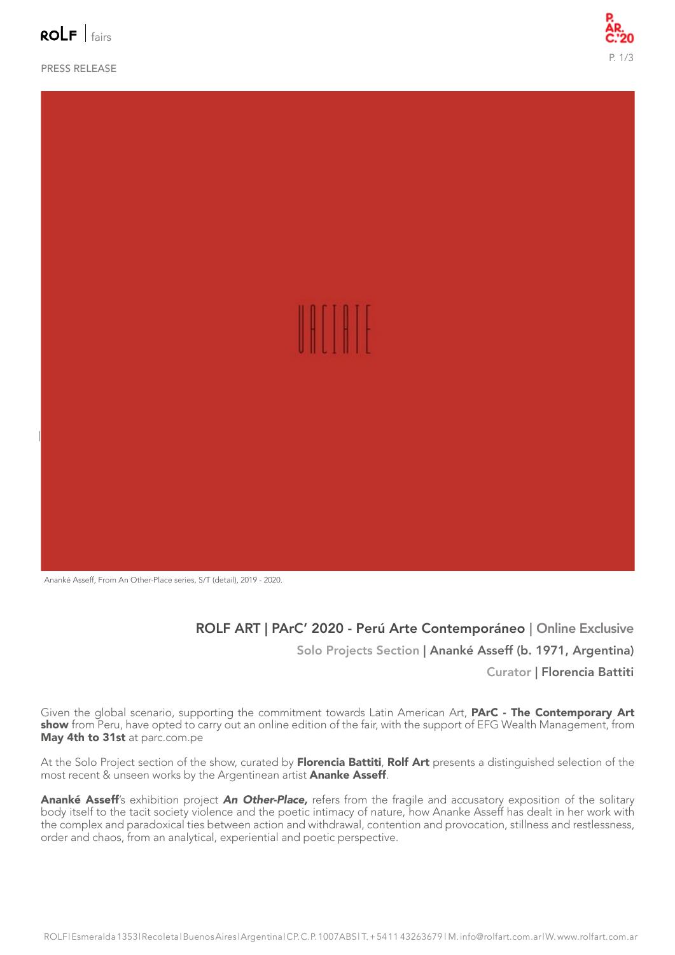$polF|_{fairc}$ 

PRESS RELEASE





Ananké Asseff, From An Other-Place series, S/T (detail), 2019 - 2020.

ROLF ART | PArC' 2020 - Perú Arte Contemporáneo | Online Exclusive Solo Projects Section | Ananké Asseff (b. 1971, Argentina)

#### Curator | Florencia Battiti

Given the global scenario, supporting the commitment towards Latin American Art, PArC - The Contemporary Art show from Peru, have opted to carry out an online edition of the fair, with the support of EFG Wealth Management, from May 4th to 31st at parc.com.pe

At the Solo Project section of the show, curated by Florencia Battiti, Rolf Art presents a distinguished selection of the most recent & unseen works by the Argentinean artist **Ananke Asseff**.

Ananké Asseff's exhibition project *An Other-Place,* refers from the fragile and accusatory exposition of the solitary body itself to the tacit society violence and the poetic intimacy of nature, how Ananke Asseff has dealt in her work with the complex and paradoxical ties between action and withdrawal, contention and provocation, stillness and restlessness, order and chaos, from an analytical, experiential and poetic perspective.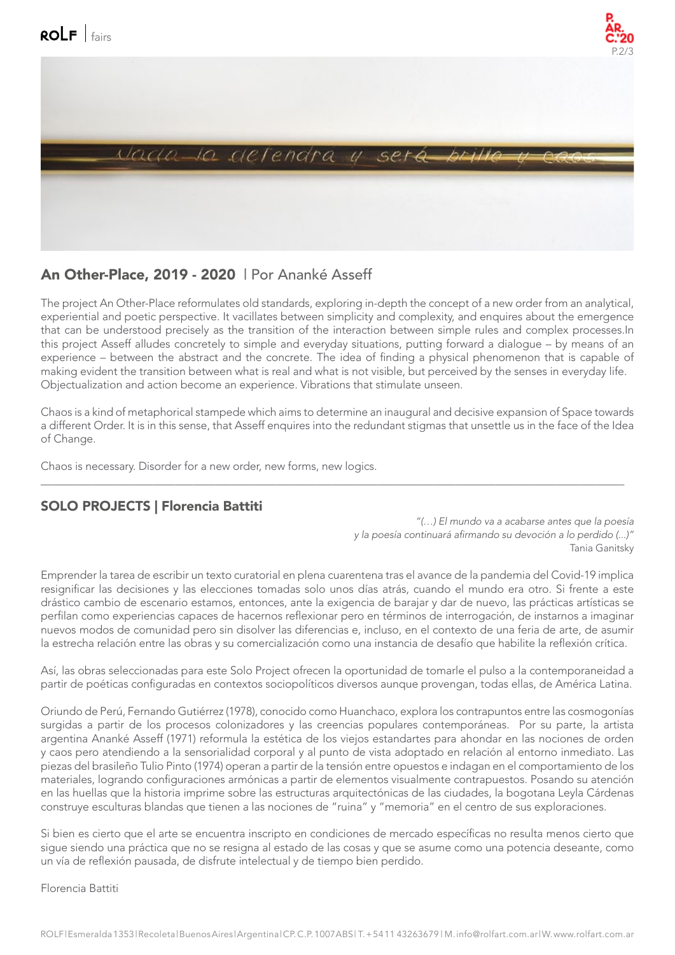



## An Other-Place, 2019 - 2020 | Por Ananké Asseff

The project An Other-Place reformulates old standards, exploring in-depth the concept of a new order from an analytical, experiential and poetic perspective. It vacillates between simplicity and complexity, and enquires about the emergence that can be understood precisely as the transition of the interaction between simple rules and complex processes.In this project Asseff alludes concretely to simple and everyday situations, putting forward a dialogue – by means of an experience – between the abstract and the concrete. The idea of finding a physical phenomenon that is capable of making evident the transition between what is real and what is not visible, but perceived by the senses in everyday life. Objectualization and action become an experience. Vibrations that stimulate unseen.

Chaos is a kind of metaphorical stampede which aims to determine an inaugural and decisive expansion of Space towards a different Order. It is in this sense, that Asseff enquires into the redundant stigmas that unsettle us in the face of the Idea of Change.

 $\_$  , and the set of the set of the set of the set of the set of the set of the set of the set of the set of the set of the set of the set of the set of the set of the set of the set of the set of the set of the set of th

Chaos is necessary. Disorder for a new order, new forms, new logics.

## SOLO PROJECTS | Florencia Battiti

 *"(…) El mundo va a acabarse antes que la poesía*  y la poesía continuará afirmando su devoción a lo perdido (...)" Tania Ganitsky

Emprender la tarea de escribir un texto curatorial en plena cuarentena tras el avance de la pandemia del Covid-19 implica resignificar las decisiones y las elecciones tomadas solo unos días atrás, cuando el mundo era otro. Si frente a este drástico cambio de escenario estamos, entonces, ante la exigencia de barajar y dar de nuevo, las prácticas artísticas se perfilan como experiencias capaces de hacernos reflexionar pero en términos de interrogación, de instarnos a imaginar nuevos modos de comunidad pero sin disolver las diferencias e, incluso, en el contexto de una feria de arte, de asumir la estrecha relación entre las obras y su comercialización como una instancia de desafío que habilite la reflexión crítica.

Así, las obras seleccionadas para este Solo Project ofrecen la oportunidad de tomarle el pulso a la contemporaneidad a partir de poéticas configuradas en contextos sociopolíticos diversos aunque provengan, todas ellas, de América Latina.

Oriundo de Perú, Fernando Gutiérrez (1978), conocido como Huanchaco, explora los contrapuntos entre las cosmogonías surgidas a partir de los procesos colonizadores y las creencias populares contemporáneas. Por su parte, la artista argentina Ananké Asseff (1971) reformula la estética de los viejos estandartes para ahondar en las nociones de orden y caos pero atendiendo a la sensorialidad corporal y al punto de vista adoptado en relación al entorno inmediato. Las piezas del brasileño Tulio Pinto (1974) operan a partir de la tensión entre opuestos e indagan en el comportamiento de los materiales, logrando configuraciones armónicas a partir de elementos visualmente contrapuestos. Posando su atención en las huellas que la historia imprime sobre las estructuras arquitectónicas de las ciudades, la bogotana Leyla Cárdenas construye esculturas blandas que tienen a las nociones de "ruina" y "memoria" en el centro de sus exploraciones.

Si bien es cierto que el arte se encuentra inscripto en condiciones de mercado específicas no resulta menos cierto que sigue siendo una práctica que no se resigna al estado de las cosas y que se asume como una potencia deseante, como un vía de reflexión pausada, de disfrute intelectual y de tiempo bien perdido.

#### Florencia Battiti